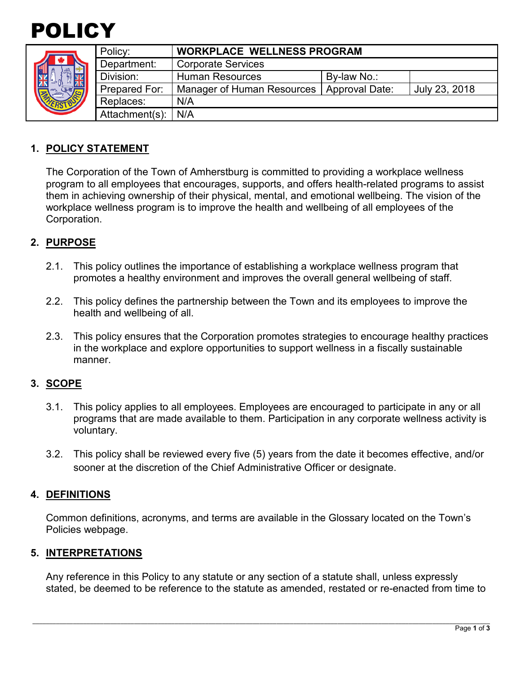

|  | Policy:        | <b>WORKPLACE WELLNESS PROGRAM</b>           |             |               |
|--|----------------|---------------------------------------------|-------------|---------------|
|  | Department:    | <b>Corporate Services</b>                   |             |               |
|  | Division:      | <b>Human Resources</b>                      | By-law No.: |               |
|  | Prepared For:  | Manager of Human Resources   Approval Date: |             | July 23, 2018 |
|  | Replaces:      | N/A                                         |             |               |
|  | Attachment(s): | N/A                                         |             |               |

## **1. POLICY STATEMENT**

The Corporation of the Town of Amherstburg is committed to providing a workplace wellness program to all employees that encourages, supports, and offers health-related programs to assist them in achieving ownership of their physical, mental, and emotional wellbeing. The vision of the workplace wellness program is to improve the health and wellbeing of all employees of the Corporation.

### **2. PURPOSE**

- 2.1. This policy outlines the importance of establishing a workplace wellness program that promotes a healthy environment and improves the overall general wellbeing of staff.
- 2.2. This policy defines the partnership between the Town and its employees to improve the health and wellbeing of all.
- 2.3. This policy ensures that the Corporation promotes strategies to encourage healthy practices in the workplace and explore opportunities to support wellness in a fiscally sustainable manner.

#### **3. SCOPE**

- 3.1. This policy applies to all employees. Employees are encouraged to participate in any or all programs that are made available to them. Participation in any corporate wellness activity is voluntary.
- 3.2. This policy shall be reviewed every five (5) years from the date it becomes effective, and/or sooner at the discretion of the Chief Administrative Officer or designate.

#### **4. DEFINITIONS**

Common definitions, acronyms, and terms are available in the Glossary located on the Town's Policies webpage.

#### **5. INTERPRETATIONS**

Any reference in this Policy to any statute or any section of a statute shall, unless expressly stated, be deemed to be reference to the statute as amended, restated or re-enacted from time to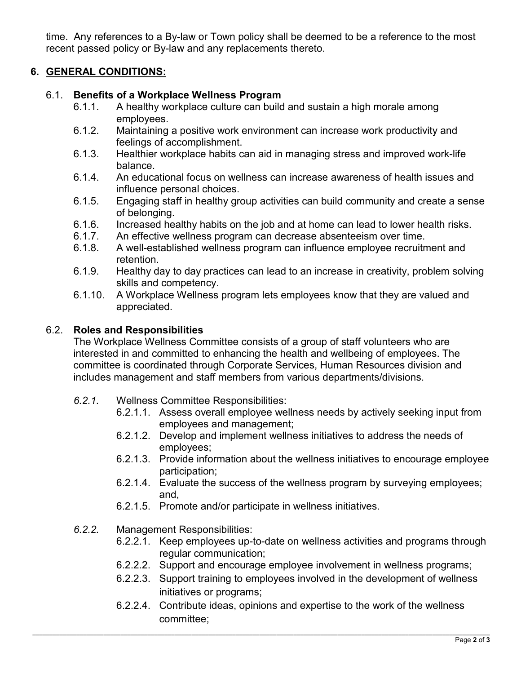time. Any references to a By-law or Town policy shall be deemed to be a reference to the most recent passed policy or By-law and any replacements thereto.

# **6. GENERAL CONDITIONS:**

### 6.1. **Benefits of a Workplace Wellness Program**

- 6.1.1. A healthy workplace culture can build and sustain a high morale among employees.
- 6.1.2. Maintaining a positive work environment can increase work productivity and feelings of accomplishment.
- 6.1.3. Healthier workplace habits can aid in managing stress and improved work-life balance.
- 6.1.4. An educational focus on wellness can increase awareness of health issues and influence personal choices.
- 6.1.5. Engaging staff in healthy group activities can build community and create a sense of belonging.
- 6.1.6. Increased healthy habits on the job and at home can lead to lower health risks.
- 6.1.7. An effective wellness program can decrease absenteeism over time.
- 6.1.8. A well-established wellness program can influence employee recruitment and retention.
- 6.1.9. Healthy day to day practices can lead to an increase in creativity, problem solving skills and competency.
- 6.1.10. A Workplace Wellness program lets employees know that they are valued and appreciated.

### 6.2. **Roles and Responsibilities**

The Workplace Wellness Committee consists of a group of staff volunteers who are interested in and committed to enhancing the health and wellbeing of employees. The committee is coordinated through Corporate Services, Human Resources division and includes management and staff members from various departments/divisions.

- *6.2.1.* Wellness Committee Responsibilities:
	- 6.2.1.1. Assess overall employee wellness needs by actively seeking input from employees and management;
	- 6.2.1.2. Develop and implement wellness initiatives to address the needs of employees;
	- 6.2.1.3. Provide information about the wellness initiatives to encourage employee participation;
	- 6.2.1.4. Evaluate the success of the wellness program by surveying employees; and,
	- 6.2.1.5. Promote and/or participate in wellness initiatives.
- *6.2.2.* Management Responsibilities:
	- 6.2.2.1. Keep employees up-to-date on wellness activities and programs through regular communication;
	- 6.2.2.2. Support and encourage employee involvement in wellness programs;
	- 6.2.2.3. Support training to employees involved in the development of wellness initiatives or programs;
	- 6.2.2.4. Contribute ideas, opinions and expertise to the work of the wellness committee;